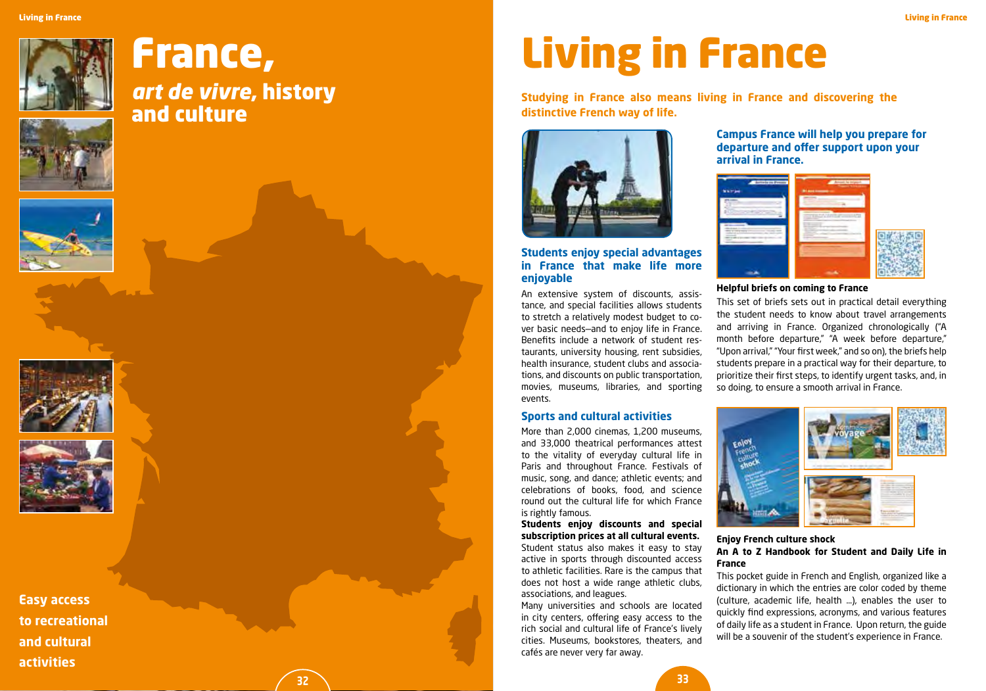

# France,

*art de vivre*, history and culture

**32**









**Easy access to recreational and cultural activities**

# Living in France

**Studying in France also means living in France and discovering the distinctive French way of life.**



### **Students enjoy special advantages in France that make life more enjoyable**

An extensive system of discounts, assistance, and special facilities allows students to stretch a relatively modest budget to cover basic needs—and to enjoy life in France. Benefits include a network of student restaurants, university housing, rent subsidies, health insurance, student clubs and associations, and discounts on public transportation, movies, museums, libraries, and sporting events.

### **Sports and cultural activities**

More than 2,000 cinemas, 1,200 museums, and 33,000 theatrical performances attest to the vitality of everyday cultural life in Paris and throughout France. Festivals of music, song, and dance; athletic events; and celebrations of books, food, and science round out the cultural life for which France is rightly famous.

**Students enjoy discounts and special subscription prices at all cultural events.** Student status also makes it easy to stay active in sports through discounted access to athletic facilities. Rare is the campus that does not host a wide range athletic clubs, associations, and leagues.

Many universities and schools are located in city centers, offering easy access to the rich social and cultural life of France's lively cities. Museums, bookstores, theaters, and cafés are never very far away.

### **Campus France will help you prepare for departure and offer support upon your arrival in France.**



#### **Helpful briefs on coming to France**

This set of briefs sets out in practical detail everything the student needs to know about travel arrangements and arriving in France. Organized chronologically ("A month before departure," "A week before departure," "Upon arrival," "Your first week," and so on), the briefs help students prepare in a practical way for their departure, to prioritize their first steps, to identify urgent tasks, and, in so doing, to ensure a smooth arrival in France.



#### **Enjoy French culture shock An A to Z Handbook for Student and Daily Life in France**

This pocket guide in French and English, organized like a dictionary in which the entries are color coded by theme (culture, academic life, health …), enables the user to quickly find expressions, acronyms, and various features of daily life as a student in France. Upon return, the guide will be a souvenir of the student's experience in France.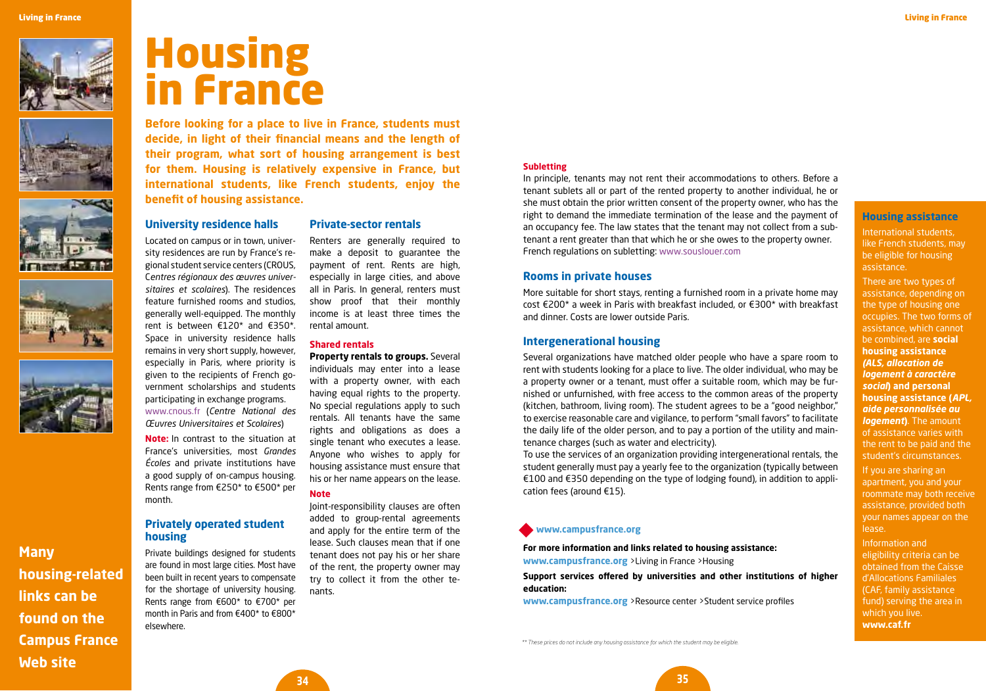









**Many housing-related links can be found on the Campus France Web site**

# Housing in France

**Before looking for a place to live in France, students must decide, in light of their financial means and the length of their program, what sort of housing arrangement is best for them. Housing is relatively expensive in France, but international students, like French students, enjoy the benefit of housing assistance.**

#### **University residence halls**

Located on campus or in town, university residences are run by France's regional student service centers (CROUS, C*entres régionaux des œuvres universitaires et scolaires*). The residences feature furnished rooms and studios, generally well-equipped. The monthly rent is between €120\* and €350\*. Space in university residence halls remains in very short supply, however, especially in Paris, where priority is given to the recipients of French government scholarships and students participating in exchange programs. www.cnous.fr (*Centre National des Œuvres Universitaires et Scolaires*)

**Note:** In contrast to the situation at France's universities, most *Grandes Écoles* and private institutions have a good supply of on-campus housing. Rents range from €250\* to €500\* per month.

# **Privately operated student housing**

Private buildings designed for students are found in most large cities. Most have been built in recent years to compensate for the shortage of university housing. Rents range from €600\* to €700\* per month in Paris and from €400\* to €800\* elsewhere.

# **Private-sector rentals**

Renters are generally required to make a deposit to guarantee the payment of rent. Rents are high, especially in large cities, and above all in Paris. In general, renters must show proof that their monthly income is at least three times the rental amount.

#### **Shared rentals**

**Property rentals to groups.** Several individuals may enter into a lease with a property owner, with each having equal rights to the property. No special regulations apply to such rentals. All tenants have the same rights and obligations as does a single tenant who executes a lease. Anyone who wishes to apply for housing assistance must ensure that his or her name appears on the lease.

### **Note**

Joint-responsibility clauses are often added to group-rental agreements and apply for the entire term of the lease. Such clauses mean that if one tenant does not pay his or her share of the rent, the property owner may try to collect it from the other tenants.

#### **Subletting**

In principle, tenants may not rent their accommodations to others. Before a tenant sublets all or part of the rented property to another individual, he or she must obtain the prior written consent of the property owner, who has the right to demand the immediate termination of the lease and the payment of an occupancy fee. The law states that the tenant may not collect from a subtenant a rent greater than that which he or she owes to the property owner. French regulations on subletting: www.souslouer.com

#### **Rooms in private houses**

More suitable for short stays, renting a furnished room in a private home may cost €200\* a week in Paris with breakfast included, or €300\* with breakfast and dinner. Costs are lower outside Paris.

### **Intergenerational housing**

Several organizations have matched older people who have a spare room to rent with students looking for a place to live. The older individual, who may be a property owner or a tenant, must offer a suitable room, which may be furnished or unfurnished, with free access to the common areas of the property (kitchen, bathroom, living room). The student agrees to be a "good neighbor," to exercise reasonable care and vigilance, to perform "small favors" to facilitate the daily life of the older person, and to pay a portion of the utility and maintenance charges (such as water and electricity).

To use the services of an organization providing intergenerational rentals, the student generally must pay a yearly fee to the organization (typically between €100 and €350 depending on the type of lodging found), in addition to application fees (around €15).

#### **www.campusfrance.org**

**For more information and links related to housing assistance: www.campusfrance.org** >Living in France >Housing

#### **Support services offered by universities and other institutions of higher education:**

**www.campusfrance.org** >Resource center >Student service profiles

**Housing assistance**

International students, like French students, may be eligible for housing assistance.

There are two types of assistance, depending on the type of housing one occupies. The two forms of assistance, which cannot be combined, are **social housing assistance**  *(ALS, allocation de logement à caractère social***) and personal housing assistance (***APL, aide personnalisée au logement***)**. The amount of assistance varies with the rent to be paid and the student's circumstances. If you are sharing an apartment, you and your roommate may both receive assistance, provided both your names appear on the

Information and eligibility criteria can be obtained from the Caisse d'Allocations Familiales (CAF, family assistance fund) serving the area in which you live. **www.caf.fr**

lease.

*\*\* These prices do not include any housing assistance for which the student may be eligible.*

**34**

**35**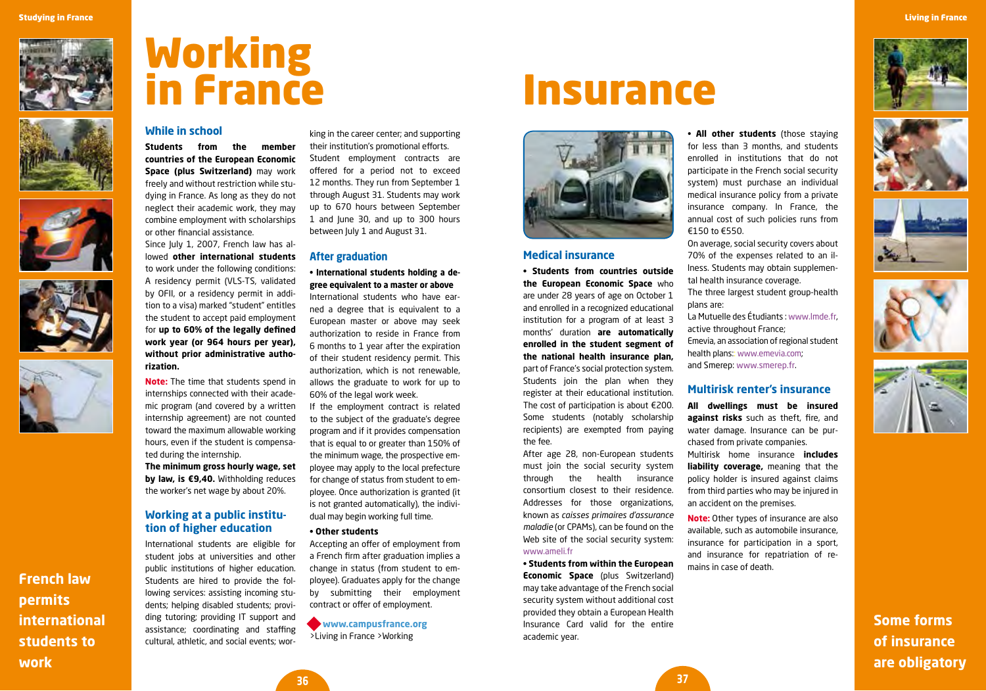









**French law permits international students to work**

# Working in France

# **While in school**

**Students from the member countries of the European Economic Space (plus Switzerland)** may work freely and without restriction while studying in France. As long as they do not neglect their academic work, they may combine employment with scholarships or other financial assistance.

Since July 1, 2007, French law has allowed **other international students** to work under the following conditions: A residency permit (VLS-TS, validated by OFII, or a residency permit in addition to a visa) marked "student" entitles the student to accept paid employment for **up to 60% of the legally defined work year (or 964 hours per year), without prior administrative authorization.**

**Note:** The time that students spend in internships connected with their academic program (and covered by a written internship agreement) are not counted toward the maximum allowable working hours, even if the student is compensated during the internship.

**The minimum gross hourly wage, set by law, is €9,40.** Withholding reduces the worker's net wage by about 20%.

# **Working at a public institution of higher education**

International students are eligible for student jobs at universities and other public institutions of higher education. Students are hired to provide the following services: assisting incoming students; helping disabled students; providing tutoring; providing IT support and assistance; coordinating and staffing cultural, athletic, and social events; wor-

king in the career center; and supporting their institution's promotional efforts. Student employment contracts are offered for a period not to exceed 12 months. They run from September 1 through August 31. Students may work up to 670 hours between September 1 and June 30, and up to 300 hours between July 1 and August 31.

#### **After graduation**

**• International students holding a degree equivalent to a master or above** International students who have earned a degree that is equivalent to a European master or above may seek authorization to reside in France from 6 months to 1 year after the expiration of their student residency permit. This authorization, which is not renewable, allows the graduate to work for up to 60% of the legal work week.

If the employment contract is related to the subject of the graduate's degree program and if it provides compensation that is equal to or greater than 150% of the minimum wage, the prospective employee may apply to the local prefecture for change of status from student to employee. Once authorization is granted (it is not granted automatically), the individual may begin working full time.

#### **• Other students**

Accepting an offer of employment from a French firm after graduation implies a change in status (from student to employee). Graduates apply for the change by submitting their employment contract or offer of employment.

**www.campusfrance.org** >Living in France >Working

# **Insurance**



#### **Medical insurance**

**• Students from countries outside the European Economic Space** who are under 28 years of age on October 1 and enrolled in a recognized educational institution for a program of at least 3 months' duration **are automatically enrolled in the student segment of the national health insurance plan,**  part of France's social protection system. Students join the plan when they register at their educational institution. The cost of participation is about €200. Some students (notably scholarship recipients) are exempted from paying the fee.

After age 28, non-European students must join the social security system through the health insurance consortium closest to their residence. Addresses for those organizations, known as *caisses primaires d'assurance maladie* (or CPAMs), can be found on the Web site of the social security system: www.ameli.fr

**• Students from within the European Economic Space** (plus Switzerland) may take advantage of the French social security system without additional cost provided they obtain a European Health Insurance Card valid for the entire academic year.

• **All other students** (those staying for less than 3 months, and students enrolled in institutions that do not participate in the French social security system) must purchase an individual medical insurance policy from a private insurance company. In France, the annual cost of such policies runs from €150 to €550.

On average, social security covers about 70% of the expenses related to an illness. Students may obtain supplemental health insurance coverage.

The three largest student group-health plans are:

La Mutuelle des Étudiants : www.lmde.fr, active throughout France; Emevia, an association of regional student health plans:: www.emevia.com; and Smerep: www.smerep.fr.

#### **Multirisk renter's insurance**

**All dwellings must be insured against risks** such as theft, fire, and water damage. Insurance can be purchased from private companies. Multirisk home insurance **includes** 

**liability coverage,** meaning that the policy holder is insured against claims from third parties who may be injured in an accident on the premises.

**Note:** Other types of insurance are also available, such as automobile insurance, insurance for participation in a sport, and insurance for repatriation of remains in case of death.









**Some forms of insurance are obligatory**

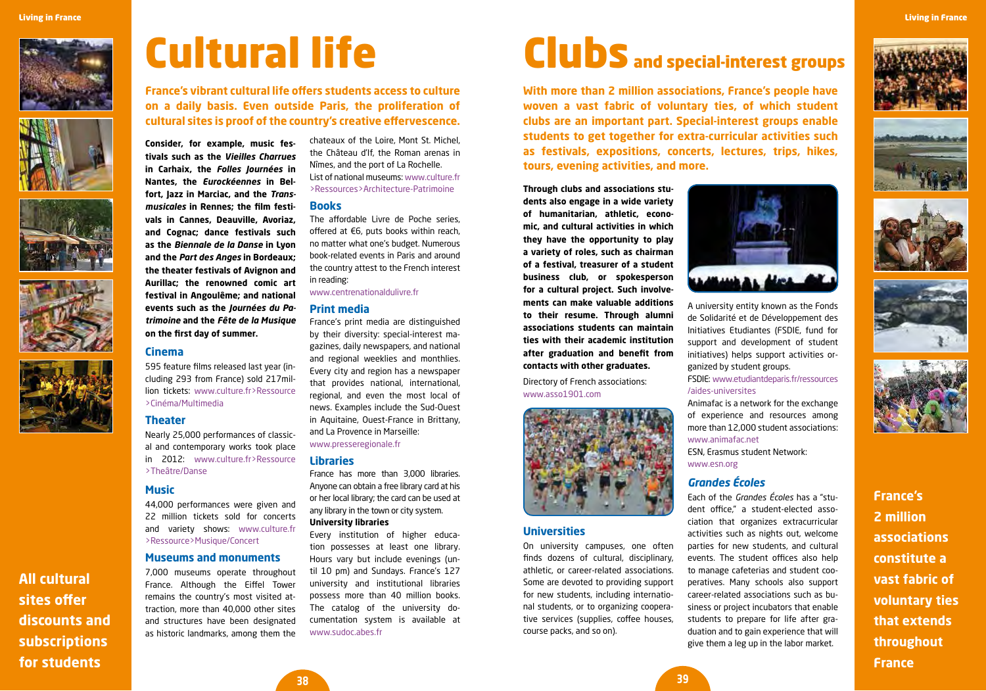







**All cultural sites offer discounts and subscriptions for students** 

# Cultural life

**France's vibrant cultural life offers students access to culture on a daily basis. Even outside Paris, the proliferation of cultural sites is proof of the country's creative effervescence.** 

**Consider, for example, music festivals such as the** *Vieilles Charrues* **in Carhaix, the** *Folles Journées* **in Nantes, the** *Eurockéennes* **in Belfort, Jazz in Marciac, and the** *Transmusicales* **in Rennes; the film festivals in Cannes, Deauville, Avoriaz, and Cognac; dance festivals such as the** *Biennale de la Danse* **in Lyon and the** *Part des Anges* **in Bordeaux; the theater festivals of Avignon and Aurillac; the renowned comic art festival in Angoulême; and national events such as the** *Journées du Patrimoine* **and the** *Fête de la Musique* **on the first day of summer.** 

### **Cinema**

595 feature films released last year (including 293 from France) sold 217million tickets: www.culture.fr>Ressource >Cinéma/Multimedia

# **Theater**

Nearly 25,000 performances of classical and contemporary works took place in 2012: www.culture.fr>Ressource >Theâtre/Danse

#### **Music**

44,000 performances were given and 22 million tickets sold for concerts and variety shows: www.culture.fr >Ressource>Musique/Concert

# **Museums and monuments**

7,000 museums operate throughout France. Although the Eiffel Tower remains the country's most visited attraction, more than 40,000 other sites and structures have been designated as historic landmarks, among them the chateaux of the Loire, Mont St. Michel, the Château d'If, the Roman arenas in Nîmes, and the port of La Rochelle. List of national museums: www.culture.fr >Ressources>Architecture-Patrimoine

#### **Books**

The affordable Livre de Poche series, offered at €6, puts books within reach, no matter what one's budget. Numerous book-related events in Paris and around the country attest to the French interest in reading:

#### www.centrenationaldulivre.fr

#### **Print media**

France's print media are distinguished by their diversity: special-interest magazines, daily newspapers, and national and regional weeklies and monthlies. Every city and region has a newspaper that provides national, international, regional, and even the most local of news. Examples include the Sud-Ouest in Aquitaine, Ouest-France in Brittany, and La Provence in Marseille: www.presseregionale.fr

### **Libraries**

**38**

France has more than 3,000 libraries. Anyone can obtain a free library card at his or her local library; the card can be used at any library in the town or city system.

#### **University libraries**

Every institution of higher education possesses at least one library. Hours vary but include evenings (until 10 pm) and Sundays. France's 127 university and institutional libraries possess more than 40 million books. The catalog of the university documentation system is available at www.sudoc.abes.fr

# Clubs and special-interest groups

**With more than 2 million associations, France's people have woven a vast fabric of voluntary ties, of which student clubs are an important part. Special-interest groups enable students to get together for extra-curricular activities such as festivals, expositions, concerts, lectures, trips, hikes, tours, evening activities, and more.**

**Through clubs and associations students also engage in a wide variety of humanitarian, athletic, economic, and cultural activities in which they have the opportunity to play a variety of roles, such as chairman of a festival, treasurer of a student business club, or spokesperson for a cultural project. Such involvements can make valuable additions to their resume. Through alumni associations students can maintain ties with their academic institution after graduation and benefit from contacts with other graduates.** 

Directory of French associations: www.asso1901.com



### **Universities**

On university campuses, one often finds dozens of cultural, disciplinary, athletic, or career-related associations. Some are devoted to providing support for new students, including international students, or to organizing cooperative services (supplies, coffee houses, course packs, and so on).



A university entity known as the Fonds de Solidarité et de Développement des Initiatives Etudiantes (FSDIE, fund for support and development of student initiatives) helps support activities organized by student groups.

FSDIE: www.etudiantdeparis.fr/ressources /aides-universites

Animafac is a network for the exchange of experience and resources among more than 12,000 student associations: www.animafac.net ESN, Erasmus student Network:

www.esn.org

# *Grandes Écoles*

Each of the *Grandes Écoles* has a "student office," a student-elected association that organizes extracurricular activities such as nights out, welcome parties for new students, and cultural events. The student offices also help to manage cafeterias and student cooperatives. Many schools also support career-related associations such as business or project incubators that enable students to prepare for life after graduation and to gain experience that will give them a leg up in the labor market.



Living in France









**France's 2 million associations constitute a vast fabric of voluntary ties that extends throughout France**

**39**